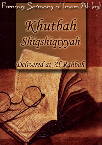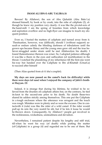## **IMAM ALI IBN-E-ABU TALIB(A.S)**

Beware! By Allahswt, the son of Abu Quhafah (Abu Bakr l.a) dressed himself, by hook or by crook, into the robe of caliphate (2), although he knew my position very clearly- it was like the pivotal-axis of the hand-mill. I am the spring of bounties from which knowledge and aspiration overflow and no high-flyer can imagine to touch my eloquent position.

Even so, I buried the matters of caliphate and turned away from it. Thesituation, however, was (difficult), should I (without support) assault or endure calmly the blinding darkness of tribulations until the grown ups became flimsy and the young ones grew old and the true believer struggled under strain until he met Allahswt(on his death). I found thatendurance thereon was wiser. So, I adopted patience although it was like a thorn in the eyes and suffocation (of mortification) in the throat. I watched the plundering of my inheritance till the first-one went his way but handed over the Caliphate to Ibn al-Khattab (Umarl.a) to succeed after himself

(Then Alias quoted from al-A`sha's couplet).

## **My days are now passed on the camel's back (in difficulty) while there were days (of ease) when I enjoyed the company of Jabir's brother Hayyan. (3)**

Indeed, it is strange that during his lifetime, he wished to be relieved from the (burden of) caliphate affairs but, on the contrary, he tied its knot to the second-one prior to his death. No doubt these-two shared its udders strictly among themselves. This one put the Caliphate in a tough enclosure where the utterance was arrogant and the touch was rough. Mistakes were in plenty and so were the excuses. One in contactwith it (rule) was like the rider of a wild camel. If the rider would pull up its rein the very nostril be slit, but if he lets it loose he would be thrown down. Consequently, by Allahswt ! people got involved in the recklessness, wickedness, unsteadiness and deviation.

Nevertheless, I remained patient despite his lengthy and stiff trial, till when he went his way (of death) while putting the matter (of Caliphate) in a group (4) and regarded me to be one of them. But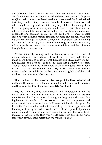goodHeavens! What had I to do with this "consultation"? Was there any doubt about my merit with regard to the first (successor to Prophetsaw)but again, I was considered parallel to these ones? But I maintained (astrategy), when they became humble I showed kindness and when they became proud I exhibited my high status. One among them (from the group of 6) turned against me because of his hatred and the other got inclined the other way due to his in-law relationship and mutual benefits and common affairs, till the third one (of these people) stood up with heaving breasts between his dung and fodder. With him his children of his grand-father, (Umayyahl.a) also stood up swallowing up Allahswt's wealth (5) like a camel devouring the foliage of spring, till his rope broke down, his actions finished him and his gluttony brought him down prostrate.

At that moment, nothing took me by surprise, but the crowd of people rushing to me. It advanced towards me from every side like the mane of the hyena so much so that Hasanas and Hussainas were getting crushed and both the ends of my shoulder garment were torn. They gathered around me like the herd of sheep and goats. When I took up the reins of government one party broke away and another turned disobedient while the rest began acting wrongfully as if they had not heard the word of Allahswt saying:

## **That residence in the hereafter, We assign it for those who intend not to exult themselves in the earth, nor (to make) mischief (therein); andthe end is (best) for the pious ones. (Qur'an, 28:83)**

Yes, by Allahswt, they had heard it and understood it but the world appeared glittering in their eyes and its embellishments seduced them.Behold, by Himswt who split the grain (to grow) and created living beings, if people had not come to me, and supporters had not exhausted the argument and if it were not for the pledge to Allahswtthat the learned should not consent the greed of the oppressor and thehunger of the oppressed. I would have cast the rope of Caliphate on itsown shoulders, and would have given the last one the same treatment as to the first one. Then you would have seen that in my view, this world of yours is no better than the sneeze of a goat.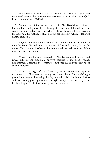(1) This sermon is known as the sermon of al-Shiqshiqiyyah, and is counted among the most famous sermons of Amir al-mu'minin(a.s). It was delivered at ar-Rahbah.

(2) Amir al-mu'minin(a.s) has referred to Abu Bakr's l.aaccession to theCaliphate metaphorically as having dressed himself l.a with it. This was a common metaphor. Thus, when `Uthman l.a was called to give up the Caliphate he replied, "I shall not put off this shirt which Allah(swt) hasput on me l.a."

(3) Hayyan ibn as-Samin al-Hanafi of Yamamah was the chief of the tribe Banu Hanifah and the master of fort and army. Jabir is the name of his younger brother while al-A`sha whose real name was Maymun ibn Qays ibn Jandal .

(4) When `Umar l.a was wounded by Abu Lu'lu'ah and he saw that it was difficult for him l.a to survive because of the deep wound, he l.aformed a consultative committee disclosed his l.a own view about each individual

(5) About the reign of the Usman l.a, Amir al-mu'minin(a.s) says that soon on `Uthman's l.a coming to power Banu Umayyah l.a got ground and began plundering the Bayt al-mal (public fund), and just as cattle on seeing green grass after drought trample it away, they recklessly fell upon Allah's(swt) money and devoured it..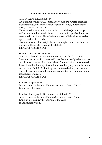## **From the same author on Feedbooks**

[Sermon Without DOTS](http://generation.feedbooks.com/userbook/28747.pdf) *(2012)*

An example of Hazrat Ali (as) mastery over the Arabic language manifested itself in this extempore sermon which, in its written form, is devoid of any dots!

Those who know Arabic or can at-least read the Quranic script will appreciate that certain letters of the Arabic alphabet have dots associated with them. These letters are used all the time in Arabic speech and written texts.

To create any written script of any meaningful nature, without using any of these letters, is a difficult task.

ISLAMICMOBILITY.COM

[Sermon Without ALIF](http://generation.feedbooks.com/userbook/28748.pdf) *(2012)*

One day, a heated discussion went on among the Arabs and Muslims during which it was said that there is no alphabet that recurs in speech more often than "aleef" ("A"). All attendants agreed. It was then that the magnificent lantern of language, namely Imam Ali ibn Abu Talib (as), stood up and delivered a lengthy sermon. The entire sermon, from beginning to end, did not contain a single word having "aleef".

ISLAMICMOBILITY.COM

[Khutbah Rajjat](http://generation.feedbooks.com/userbook/28749.pdf) *(2012)* Series related to the most Famous Sermon of Imam Ali (as) Islamicmobility.com

[Khutbah Tutunjiyyih - Sermon of the Gulf](http://generation.feedbooks.com/userbook/28751.pdf) *(2012)* Series related to the most Famous Sermon of Imam Ali (as) Khutbah-e-Tutunjiyyih - Sermon of the Gulf Islamicmobility.com